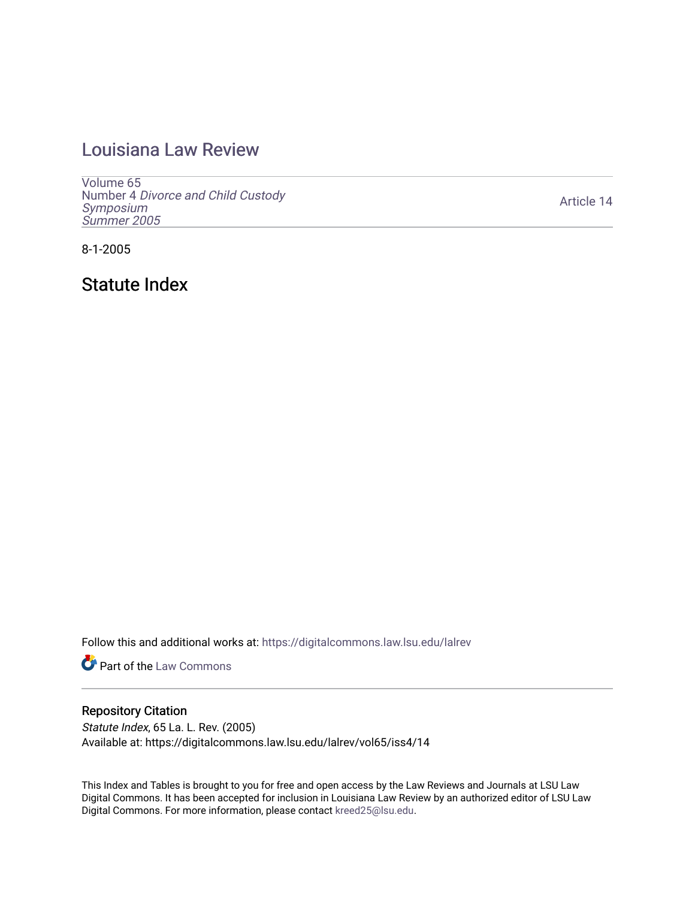# [Louisiana Law Review](https://digitalcommons.law.lsu.edu/lalrev)

[Volume 65](https://digitalcommons.law.lsu.edu/lalrev/vol65) Number 4 [Divorce and Child Custody](https://digitalcommons.law.lsu.edu/lalrev/vol65/iss4)  [Symposium](https://digitalcommons.law.lsu.edu/lalrev/vol65/iss4)  [Summer 2005](https://digitalcommons.law.lsu.edu/lalrev/vol65/iss4) 

[Article 14](https://digitalcommons.law.lsu.edu/lalrev/vol65/iss4/14) 

8-1-2005

Statute Index

Follow this and additional works at: [https://digitalcommons.law.lsu.edu/lalrev](https://digitalcommons.law.lsu.edu/lalrev?utm_source=digitalcommons.law.lsu.edu%2Flalrev%2Fvol65%2Fiss4%2F14&utm_medium=PDF&utm_campaign=PDFCoverPages)

**Part of the [Law Commons](https://network.bepress.com/hgg/discipline/578?utm_source=digitalcommons.law.lsu.edu%2Flalrev%2Fvol65%2Fiss4%2F14&utm_medium=PDF&utm_campaign=PDFCoverPages)** 

# Repository Citation

Statute Index, 65 La. L. Rev. (2005) Available at: https://digitalcommons.law.lsu.edu/lalrev/vol65/iss4/14

This Index and Tables is brought to you for free and open access by the Law Reviews and Journals at LSU Law Digital Commons. It has been accepted for inclusion in Louisiana Law Review by an authorized editor of LSU Law Digital Commons. For more information, please contact [kreed25@lsu.edu.](mailto:kreed25@lsu.edu)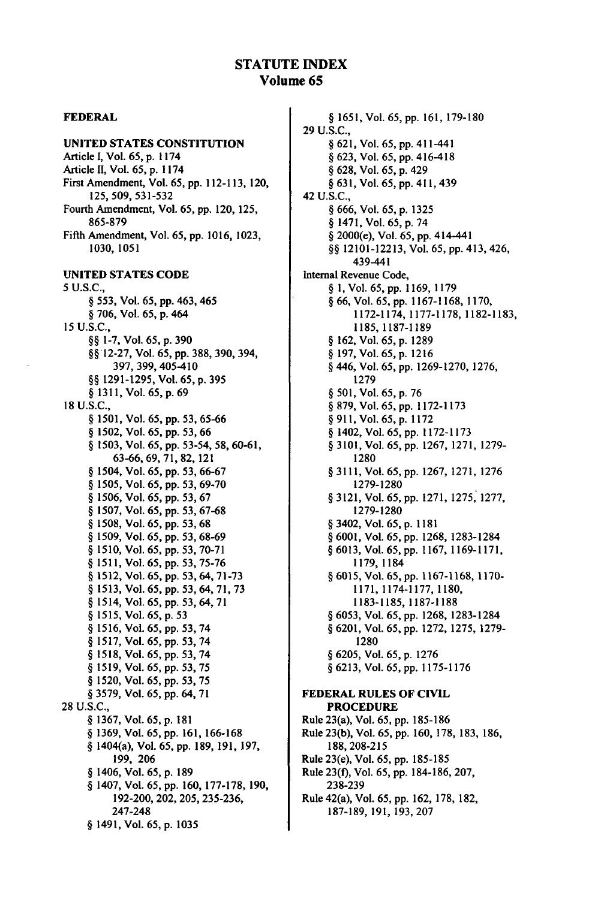#### **FEDERAL**

#### **UNITED STATES CONSTITUTION**

**Article I, Vol. 65, p.** 1174 Article **I,** Vol. **65, p. 1174**  First Amendment, Vol. **65, pp. 112-113,** 120, **125, 509,531-532**  Fourth Amendment, Vol. **65, pp.** 120, **125, 865-879 Fifth** Amendment, Vol. **65, pp. 1016, 1023, 1030, 1051 UNITED STATES CODE**  5 **U.S.C.,**  § 553, Vol. 65, pp. 463, 465 **§** 706,Vol.65,p.464 15 U.S.C., **§§** 1-7, Vol. 65, p. 390 **§§'12-27,**Vol. 65,pp. 388, 390, 394, 397, 399, 405-410 **§§ 1291-1295,** Vol. **65,** p.395 **§** 1311, Vol. 65, p. 69 **18 U.S.C., § 1501,** Vol. **65,pp.53, 65-66 § 1502,** Vol. **65, pp. 53, 66 § 1503,** Vol. **65, pp. 53-54, 58, 60-61, 63-66, 69, 71, 82,** 121 **§** 1504, Vol.**65,pp.53,66-67 § 1505,**Vol.**65,pp.53,69-70 § 1506,**Vol. **65, pp. 53, 67 § 1507,** Vol. **65, pp. 53, 67-68 § 1508,** Vol.**65,pp.53,68 § 1509,** Vol. **65, pp.53,68-69 § 1510,** Vol.**65,pp.53,70-71 § 1511,** Vol. **65, pp. 53, 75-76 § 1512,** Vol. **65, pp. 53,** 64, **71-73 § 1513,** Vol. **65, pp. 53,** 64, **71, 73 § 1514,** Vol. **65, pp. 53,** 64, **71 § 1515,** Vol. **65, p. 53 § 1516,** Vol. **65, pp. 53,** 74 **§ 1517,** Vol. **65, pp. 53,** 74 **5 3** 74 **§ 1518,** Vol. **65, pp. , § 1519,** Vol. **65, pp. 53, 75 § 1520,** Vol. **65, pp. 53, 75 § 3579,** Vol.**65,pp.**64, **71 28 U.S.C., § 1367,** Vol. **65, p. 181 § 1369,** Vol. **65, pp. 161,166-168 §** 1404(a), Vol. **65, pp. 189, 191, 197, 199, 206 §** 1406, Vol. **65, p. 189 §** 1407, Vol. **65, pp. 160, 177-178, 190, 192-200,** 202, **205, 235-236,**  247-248 **§** 1491, Vol. **65, p. 1035** 

**§ 1651,** Vol. 65, **pp. 161, 179-180**  29 U.S.C., **§** 62 1, Vol. 65, **pp.** 411-441 **§** 623, Vol. 65, pp. 416-418 **§** 628, Vol. 65, p. 429 **§** 63 1, Vol. 65, pp. 411, 439 42 U.S.C., **§** 666, Vol. 65, p. 1325 **§** 1471, Vol. 65, p. 7 4 **§** 2000(e), Vol. **65, pp.** 414-441 **§§** 12101-12213, Vol. 65, pp. 413, 426, 439-441 Internal Revenue Code, **§ 1,** Vol. 65, pp. 1169, 1179 **§** 66, Vol. 65, pp. 1167-1168, 1170, 1172-1174, 1177-1178, 1182-1183, 1185, 1187-1189 **§** 162, Vol. 65, p. 1289 **§** 197, Vol. 65, p. 1216 **§** 446, Vol. 65, pp. 1269-1270, 1276, 1279 § 501, Vol. 65, p. 76 **§** 879, Vol. 65, pp. 1172-1173 **§**911, Vol. 65, p. 1172 **§** 1402, Vol. 65, pp. 1172-1173 **§** 3101, Vol. 65, pp. 1267, 1271, 1279- 1280 **§** 3111, Vol. 65, pp. 1267, 1271, 1276 1279-1280 **§** 3121, Vol. 65, pp. 1271, 1275, 1277, 1279-1280 **§** 3402, Vol. 65, p. 1181 **§** 6001, Vol. 65, pp. 1268, 1283-1284 **§** 6013, Vol. 65, pp. 1167, 1169-1171, **1179, 1184 §** 6015, Vol. 65, **pp.** 1167-1168, **1170-** 1171, 1174-1177, 1180, 1183-1185, 1187-1188 **§** 6053, Vol. 65, pp. 1268, 1283-1284 **§** 6201, Vol.65,pp. 1272, 1275, 1279- 1280 **§** 6205, Vol. 65, p. 1276 **§** 6213, Vol. 65, pp. 1175-1176 **FEDERAL RULES OF CIVIL PROCEDURE**  Rule 23(a), Vol. **65, pp. 185-186** 

Rule **23(b),** Vol. **65, pp. 160, 178, 183, 186, 188,208-215**  Rule 23(e), Vol. **65, pp. 185-185**  Rule **23(0,** Vol. **65, pp. 184-186, 207, 238-239**  Rule 42(a), Vol. **65, pp. 162, 178, 182, 187-189, 191, 193, 207**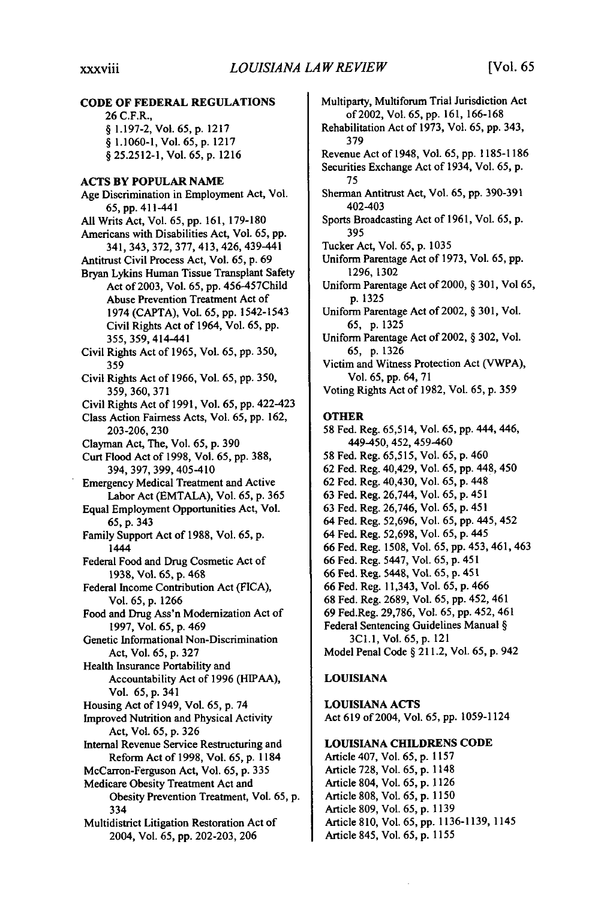26 C.F.R.,

**CODE OF FEDERAL REGULATIONS** 

**§ 1.197-2,** Vol. 65, **p.** 1217 § **1.1060-1,** Vol. **65, p. 1217**  § **25.2512-1,** Vol. **65, p. 1216 ACTS BY POPULAR NAME**  Age Discrimination in Employment Act, Vol. **65, pp.** 411-441 **All** Writs Act, Vol. **65, pp. 161, 179-180**  Americans with Disabilities Act, Vol. **65, pp.**  341, 343, **372, 377,** 413, 426, 439-441 Antitrust Civil Process Act, Vol. **65, p. 69**  Bryan Lykins Human Tissue Transplant Safety Act of **2003,** Vol. **65, pp.** 456-457Child Abuse Prevention Treatment Act of 1974 **(CAPTA),** Vol. **65, pp.** 1542-1543 Civil Rights Act of 1964, Vol. **65, pp. 355, 359,** 414-441 Civil Rights Act of **1965,** Vol. **65, pp. 350, 359**  Civil Rights Act of **1966,** Vol. **65, pp. 350, 359, 360, 371**  Civil Rights Act of **1991,** Vol. **65, pp.** 422-423 Class Action Fairness Acts, Vol. **65, pp. 162, 203-206, 230**  Clayman Act, The, Vol. **65, p. 390**  Curt Flood Act of **1998,** Vol. **65, pp. 388,**  394, **397, 399,** 405-410 Emergency Medical Treatment and Active Labor Act **(EMTALA),** Vol. **65, p. 365**  Equal Employment Opportunities Act, Vol. **65,** p. 343 Family Support Act of 1988, Vol. **65,** p. 1444 Federal Food and Drug Cosmetic Act of 1938, Vol. **65,** p. **468**  Federal Income Contribution Act (FICA), Vol. **65,** p. 1266 Food and Drug Ass'n Modernization Act of **1997,** Vol. 65, p. 469 Genetic Informational Non-Discrimination Act, Vol. 65, p. **327**  Health Insurance Portability and Accountability Act of **1996 (HIPAA),**  Vol. **65, p.** 341 Housing Act of 1949, Vol. **65, p.** 74 Improved Nutrition and Physical Activity Act, Vol. **65, p. 326**  Internal Revenue Service Restructuring and Reform Act of **1998,** Vol. **65, p. 1184**  McCarron-Ferguson Act, Vol. **65, p. 335**  Medicare Obesity Treatment Act and Obesity Prevention Treatment, Vol. **65, p.**  334 Multidistrict Litigation Restoration Act of 2004, Vol. **65, pp. 202-203, 206** 

Multiparty, Multiforum Trial Jurisdiction Act of2002, Vol. 65, **pp.** 161, 166-168 Rehabilitation Act of 1973, Vol. 65, pp. 343, 379 Revenue Act of 1948, Vol. 65, pp. 1185-1186 Securities Exchange Act of 1934, Vol. **65, p.**  75 Sherman Antitrust Act, Vol. 65, pp. 390-391 402-403 Sports Broadcasting Act of 1961, Vol. 65, p. 395 Tucker Act, Vol. 65, p. 1035 Uniform Parentage Act of 1973, Vol. 65, pp. 1296, 1302 Uniform Parentage Act of 2000, § 301, Vol 65, p. 1325 Uniform Parentage Act of 2002, § 301, Vol. 65, p. 1325 Uniform Parentage Act of 2002, § 302, Vol. 65, p. 1326 Victim and Witness Protection Act (VWPA), Vol. 65, pp. 64, 71 Voting Rights Act of 1982, Vol. 65, p. 359 **OTHER 58** Fed. Reg. **65,514,** Vol. **65, pp.** 444, 446, 449-450, 452, 459-460 58 Fed. Reg. 65,515, Vol. 65, p. 460 62 Fed. Reg. 40,429, Vol. 65, pp. 448, 450 62 Fed. Reg. 40,430, Vol. 65, p. 448 63 Fed. Reg. 26,744, Vol. 65, p. 451 63 Fed. Reg. 26,746, Vol. 65, p. 451 64 Fed. Reg. 52,696, Vol. 65, pp. 445, 452 64 Fed. Reg. 52,698, Vol. 65, p. 445 66 Fed. Reg. 1508, Vol. 65, pp. 453, 461, 463 66 Fed. Reg. 5447, Vol. 65, p. 451 **66** Fed. Reg. 5448, Vol. **65, p.** 451 66 Fed. Reg. 11,343, Vol. 65, p. 466 68 Fed. Reg. 2689, Vol. 65, pp. 452, 461 69 Fed.Reg. 29,786, Vol. 65, pp. 452, 461 Federal Sentencing Guidelines Manual § 3C1.1, Vol. 65, p. 121 Model Penal Code § 211.2, Vol. 65, p. 942

#### **LOUISIANA**

**LOUISIANA ACTS**  Act **619** of 2004, Vol. **65, pp.** 1059-1124

#### **LOUISIANA CHILDRENS CODE**

Article 407, Vol. 65, p. **1157**  Article 728, Vol. 65, p. 1148 Article 804, Vol. 65, p. 1126 Article 808, Vol. 65, p. 1150 Article 809, Vol. 65, p. 1139 Article 810, Vol. 65, pp. 1136-1139, 1145 Article 845, Vol. 65, p. 1155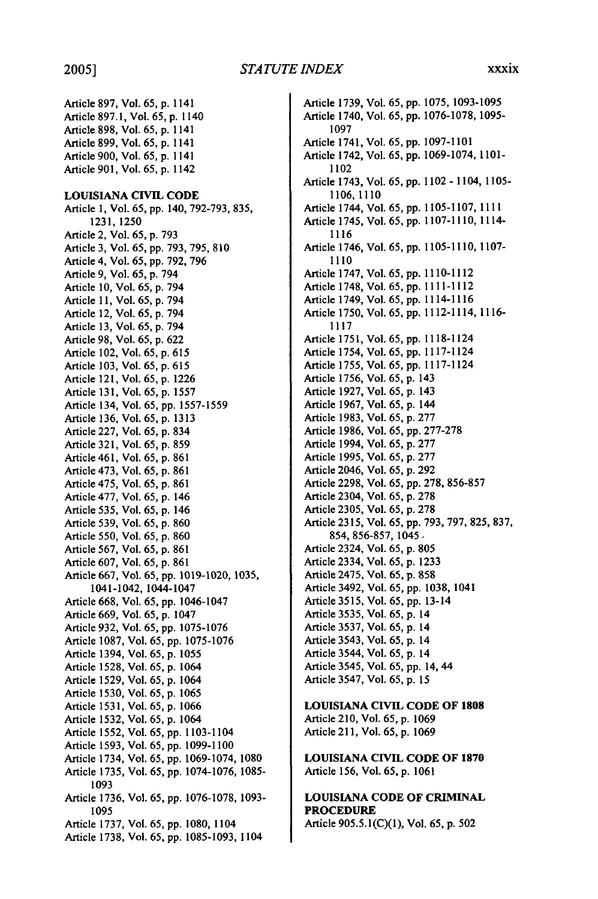Article 897, Vol. 65, **p.** 1141 Article 897.1, Vol. 65, p. 1140 Article 898, Vol. 65, p. 1141 Article 899, Vol. 65, p. 1141 Article 900, Vol. 65, p. 1141 Article 901, Vol. 65, p. 1142 **LOUISIANA CIVIL CODE**  Article **1, Vol. 65, pp.** 140, **792-793, 835, 1231, 1250**  Article 2, Vol. **65, p.** 793 Article **3,** Vol. **65, pp. 793, 795, 810**  Article 4, Vol. **65, pp. 792, 796**  Article **9,** Vol. **65, p.** 794 Article **10,** Vol. **65, p.** 794 Article **11,** Vol. **65, p.** 794 Article 12, Vol. **65, p.** 794 Article **13,** Vol. **65, p.** 794 Article **98,** Vol. **65, p. 622**  Article 102, Vol. **65, p. 615**  Article **103,** Vol. **65, p.** 615 Article 121, Vol. 65, **p. 1226**  Article 131, Vol. **65, p.** 1557 Article 134, Vol. **65, pp.** 1557-1559 Article **136,** Vol. **65, p.** 1313 Article **227,** Vol. **65, p.** 834 Article 321, Vol. 65, **p. 859**  Article 461, Vol. 65, p. 861 Article 473, Vol. 65, p. 861 Article 475, Vol. 65, p. 861 Article 477, Vol. 65, p. 146 Article 535, Vol. 65, p. 146 Article 539, Vol. 65, p. 860 Article 550, Vol. 65, p. 860 Article 567, Vol. 65, p. 861 Article 607, Vol. 65, p. 861 Article 667, Vol. 65, pp. 1019-1020, 1035, 1041-1042, 1044-1047 Article 668, Vol. 65, pp. 1046-1047 Article 669, Vol. 65, p. 1047 Article 932, Vol. 65, pp. 1075-1076 Article 1087, Vol. 65, pp. 1075-1076 Article 1394, Vol. 65, p. 1055 Article 1528, Vol. 65, p. 1064 Article 1529, Vol. 65, p. 1064 Article 1530, Vol. 65, p. 1065 Article 1531, Vol. 65, p. 1066 Article 1532, Vol. 65, p. 1064 Article 1552, Vol. 65, pp. 1103-1104 Article 1593, Vol. 65, pp. 1099-1100 Article 1734, Vol. 65, pp. 1069-1074, 1080 Article 1735, Vol. 65, pp. 1074-1076, 1085- 1093 Article 1736, Vol. 65, pp. 1076-1078, 1093- 1095 Article 1737, Vol. 65, pp. 1080, 1104 Article **1738,** Vol. 65, **pp.** 1085-1093, 1104

Article 1739, Vol. 65, **pp.** 1075, 1093-1095 Article 1740, Vol. 65, pp. 1076-1078, 1095- 1097 Article 1741, Vol. 65, pp. 1097-1101 Article 1742, Vol. 65, pp. 1069-1074, 1101- 1102 Article 1743, Vol. 65, pp. 1102 - 1104, 1105- 1106, 1110 Article 1744, Vol. 65, pp. 1105-1107, 1111 Article 1745, Vol. 65, pp. 1107-1110, 1114- 1116 Article 1746, Vol. 65, pp. 1105-1110, 1107- 1110 Article 1747, Vol. 65, pp. 1110-1112 Article 1748, Vol. 65, pp. 1111-1112 Article 1749, Vol. 65, pp. 1114-1116 Article 1750, Vol. 65, pp. 1112-1114, 1116- 1117 Article 1751, Vol. 65, pp. 1118-1124 Article 1754, Vol. 65, pp. 1117-1124 Article 1755, Vol. 65, pp. 1117-1124 Article 1756, Vol. 65, p. 143 Article 1927, Vol. 65, p. 143 Article 1967, Vol. 65, p. 144 Article 1983, Vol. 65, p. 277 Article 1986, Vol. 65, pp. 277-278 Article 1994, Vol. 65, p. 277 Article 1995, Vol. 65, p. 277 Article 2046, Vol. 65, p. 292 Article 2298, Vol. 65, pp. 278, 856-857 Article 2304, Vol. 65, p. 278 Article 2305, Vol. 65, p. 278 Article 2315, Vol. 65, pp. 793, 797, 825, 837, 854, 856-857, 1045, Article 2324, Vol. 65, p. 805 Article 2334, Vol. 65, p. 1233 Article 2475, Vol. 65, p. 858 Article 3492, Vol. 65, pp. 1038, 1041 Article 3515, Vol. 65, pp. 13-14 Article 3535, Vol. 65, p. 14 Article 3537, Vol. 65, p. 14 Article 3543, Vol. 65, p. 14 Article 3544, Vol. 65, p. 14 Article 3545, Vol. 65, pp. 14, 44 Article 3547, Vol. 65, p. 15

**LOUISIANA CIVIL CODE OF 1808**  Article **210,** Vol. **65, p. 1069**  Article **211,** Vol. **65, p. 1069** 

**LOUISIANA CIVIL CODE OF 1870**  Article **156,** Vol. **65, p. 1061** 

# **LOUISIANA CODE OF CRIMINAL PROCEDURE**

Article 905.5.1(C)(1), Vol. 65, p. 502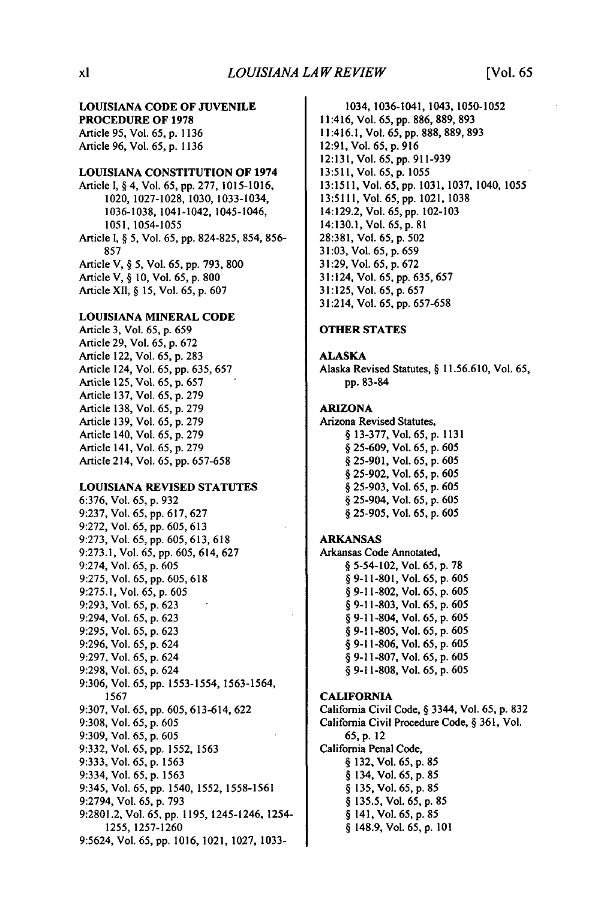### **LOUISIANA CODE OF JUVENILE**

**PROCEDURE OF 1978 Article 95,** Vol. 65, **p. 1136**  Article **96,** Vol. **65, p. 1136** 

#### **LOUISIANA CONSTITUTION OF 1974**

Article **I,** § 4, Vol. **65, pp. 277, 1015-1016,**  1020, **1027-1028, 1030,** 1033-1034, **1036-1038,** 1041-1042, 1045-1046, **1051, 1054-1055**  Article **I,**§ **5,** Vol. **65, pp. 824-825,** 854, **856- 857**  Article V, § **5,** Vol. **65, pp. 793, 800**  Article V, § **10,** Vol. **65, p. 800** 

Article **XII,** § **15,** Vol. **65, p. 607** 

#### **LOUISIANA MINERAL CODE**

Article **3,** Vol. **65, p. 659**  Article **29,** Vol. **65, p. 672**  Article 122, Vol. **65, p. 283**  Article 124, Vol. **65, pp. 635, 657**  Article **125,** Vol. **65, p. 657**  Article **137,** Vol. **65, p. 279**  Article **138,** Vol. **65, p. 279**  Article **139,** Vol. **65, p. 279**  Article 140, Vol. **65, p. 279**  Article 141, Vol. **65, p. 279**  Article 214, Vol. **65, pp. 657-658** 

#### **LOUISIANA** REVISED **STATUTES**

**6:376,** Vol. **65, p. 932 9:237,** Vol. **65, pp. 617, 627 9:272,** Vol. **65, pp. 605, 613 9:273,** Vol. **65, pp. 605, 613, 618 9:273.1,** Vol. **65, pp. 605,** 614, **627**  9:274, Vol. **65, p. 605 9:275,** Vol. **65, pp. 605, 618 9:275.1,** Vol. **65, p. 605 9:293,** Vol. **65, p. 623**  9:294, Vol. **65, p. 623 9:295,** Vol. **65, p. 623 9:296,** Vol. **65, p.** 624 **9:297,** Vol. **65, p.** 624 **9:298,** Vol. **65, p.** 624 **9:306,** Vol. **65, pp. 1553-1554, 1563-1564, 1567 9:307,** Vol. **65, pp. 605, 613-614, 622 9:308,** Vol. **65, p. 605 9:309,** Vol. **65, p. 605 9:332,** Vol. **65, pp. 1552, 1563 9:333,** Vol. **65, p. 1563**  9:334, Vol. **65, p. 1563**  9:345, Vol. **65, pp.** 1540, **1552, 1558-1561 9:2794,** Vol. **65, p. 793 9:2801.2,** Vol. **65, pp. 1195,** 1245-1246, 1254- **1255, 1257-1260**  9:5624, Vol. **65, pp. 1016,** 1021, **1027, 1033-**

1034, 1036-1041, 1043, 1050-1052 11:416, Vol. **65, pp. 886, 889, 893**  11:416.1, Vol. **65, pp. 888, 889, 893 12:91,** Vol. **65, p. 9 16 12:131,** Vol. **65, pp. 911-939 13:511,** Vol. **65, p. 1055 13:1511,** Vol. **65, pp. 1031, 1037,** 1040, **1055 13:5111,** Vol. **65, pp.** 1021, **1038**  14:129.2, Vol. **65, pp. 102-103**  14:130.1, Vol.**65, p. 8 1 28:381,** Vol. **65, p. 502 31:03,** Vol. **65, p. 659 3 1:29,** Vol. **65, p. 672 6 3 5 6 5 7** 31:124, Vol. **65, pp. ,** 

# **OTHER STATES**

**31:125,** Vol. **65, p. 657**  31:214, Vol. **65, pp. 657-658** 

#### **ALASKA**

Alaska Revised Statutes, § **11.56.610,** Vol. **65, pp. 83-84** 

#### **ARIZONA**

Arizona Revised Statutes, § **13-377,** Vol. **65, p. 1131**  § **25-609,** Vol. **65, p. 605**  § **25-901,** Vol. **65, p. 605**  § **25-902,** Vol. **65, p. 605**  § **25-903,** Vol. **65, p. 605**  § 25-904, Vol. **65, p. 605**  § **25-905,** Vol. **65, p. 605** 

#### **ARKANSAS**

Arkansas Code Annotated, § 5-54-102, Vol. **65, p. 78 6 0 5** § **9-11-801,** Vol. **65, p.**  § **9-11-802,** Vol. **65, p. 605**  § **9-11-803,** Vol. **65, p. 605**  § 9-11-804, Vol. **65, p. 605**  § **9-11-805,** Vol. **65, p. 605**  § **9-11-806,** Vol. **65, p. 605**  § **9-11-807,** Vol. **65, p. 605**  § **9-11-808,** Vol. **65, p. 605** 

#### **CALIFORNIA**

California Civil Code, § 3344, Vol. **65, p. 832**  California Civil Procedure Code, § **361,** Vol. **65,p.** 12 California Penal Code, § **132,** Vol. **65, p. 85**  § 134, Vol. **65, p. 85**  § **135,** Vol. **65, p. 85**  § **135.5,** Vol. **65, p. 85**  § 141, Vol. **65, p. 85**  § 148.9, Vol. **65, p. 101**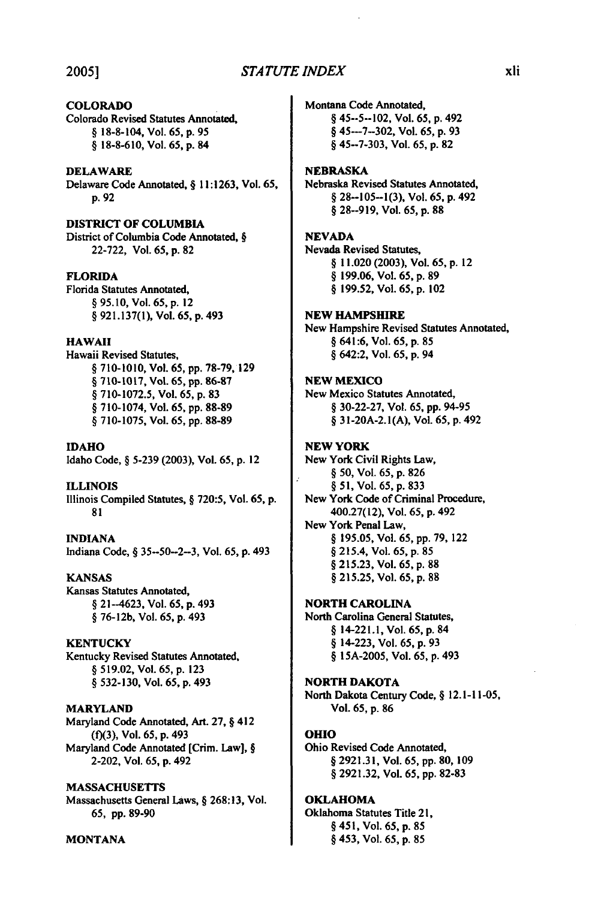# **2005]** *STA TUTE INDEX*

#### COLORADO Colorado Revised Statutes Annotated,

§ **18-8-104,** Vol. 65, **p. 9 5**  § 18-8-610, Vol. 65, p. 84

#### DELAWARE

Delaware Code Annotated, § 11:1263, Vol. **65,**  p. 92

#### DISTRICT **OF COLUMBIA**

District of Columbia Code Annotated, § 22-722, Vol. 65, p. 82

#### **FLORIDA**

Florida Statutes Annotated, § 95.10, Vol. 65, **p.** 12 § 921.137(l), Vol. 65, p. 493

#### **HAWAII**

Hawaii Revised Statutes, § 710-1010, Vol. 65, pp. 78-79, 129 § 710-1017, Vol. 65, **pp. 86-87**  § 710-1072.5, Vol. 65, p. 83 § 710-1074, Vol. 65, **pp.** 88-89 § 710-1075, Vol. 65, **pp. 88-89** 

**IDAHO**  Idaho Code, § 5-239 (2003), Vol. 65, **p.** 12

**ILLINOIS**  Illinois Compiled Statutes, § 720:5, Vol. **65,** p. 81

**INDIANA**  Indiana Code, § 35--50-2-3, Vol. **65, p.** 493

**KANSAS**  Kansas Statutes Annotated,  $§$  21--4623, Vol. 65, p. 493 § **76-12b,** Vol. **65,** p. 493

**KENTUCKY**  Kentucky Revised Statutes Annotated. § 519.02, Vol. 65, **p.** 123

§ **532-130,** Vol. 65, **p.** 493

#### MARYLAND Maryland Code Annotated, Art. **27,** § 412

**(f)(3),** Vol. **65, p.** 493 Maryland Code Annotated [Crim. Law], § 2-202, Vol. **65, p.** 492

MASSACHUSETTS

Massachusetts General Laws, §268:13, Vol. 65, pp. 89-90

**MONTANA** 

Montana Code Annotated,

§ 45-5-102, Vol. **65, p.** 492 § **45-7-302,** Vol. **65, p.** 93 § **45-7-303,** Vol. **65, p. 82** 

#### NEBRASKA

Nebraska Revised Statutes Annotated, § **28-105-1(3),** Vol. **65, p.** 492 § **28--919,** Vol. **65, p. 88** 

#### **NEVADA**

Nevada Revised Statutes, § 11.020 **(2003),** Vol. **65, p.** 12 § **199.06,** Vol. **65, p. 89**  § **199.52,** Vol. **65, p.** 102

#### **NEW** HAMPSHIRE

New Hampshire Revised Statutes Annotated, § 641:6, Vol. **65, p. 85**  § 642:2, Vol. **65, p.** 94

#### **NEW** MEXICO

New Mexico Statutes Annotated, § **30-22-27,** Vol. **65, pp.** 94-95 § **31-20A-2. 1(A),** Vol. **65, p.** 492

#### **NEW** YORK

New York Civil Rights Law, § 50, Vol. 65, p. 826 § 5 1, Vol. 65, p. 833 New York Code of Criminal Procedure, 400.27(12), Vol. 65, **p.** 492 New York Penal Law, § 195.05, Vol. 65, pp. 79, 122 § 215.4, Vol. 65, p. 85 § 215.23, Vol. 65, **p.** 88 § 215.25, Vol. 65, p. 88

NORTH **CAROLINA**  North Carolina General Statutes,

§ **14-221.1,** Vol. **65, p.** <sup>84</sup> § 14-223, Vol. **65, p.** 93 § **15A-2005,** Vol. **65, p.** 493

#### NORTH DAKOTA

North Dakota Century Code, § **12.1-11-05,**  Vol. 65, **p. 86** 

#### OHIO

Ohio Revised Code Annotated, § **2921.31,** Vol. **65, pp. 80, 109**  § **2921.32,** Vol. **65, pp. 82-83** 

#### OKLAHOMA

Oklahoma Statutes Title 21, § **451,** Vol. 65, **p. 8 5**  § 453, Vol. 65, **p.** 85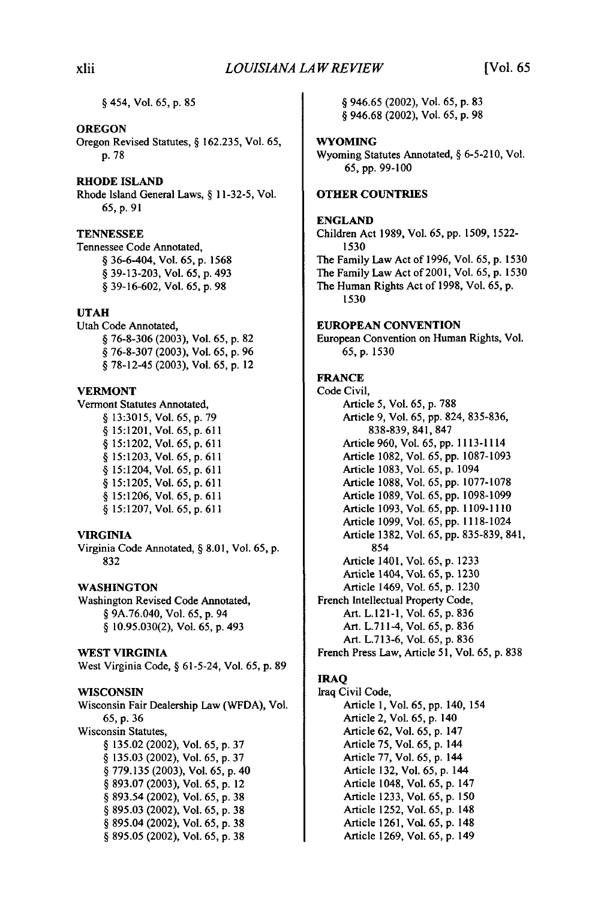§ 454, Vol. 65, p. 85

#### OREGON

Oregon Revised Statutes, § 162.235, Vol. 65, p. 78

#### RHODE **ISLAND**

Rhode Island General Laws, § 11-32-5, Vol. 65, **p. 91** 

#### **TENNESSEE**

Tennessee Code Annotated, § 36-6-404, Vol. 65, p. 1568 § 39-13-203, Vol. 65, p. 493 § 39-16-602, Vol. 65, p. 98

#### **UTAH**

Utah Code Annotated, § 76-8-306 (2003), Vol. 65, p. 82 § 76-8-307 (2003), Vol. 65, p. 96 § 78-12-45 (2003), Vol. 65, p. 12

#### VERMONT

Vermont Statutes Annotated, § 13:3015, Vol. 65, p. 79 § 15:1201, Vol. 65, p. 611 § 15:1202, Vol. 65, p. 611 § 15:1203, Vol. 65, p. 611 § 15:1204, Vol. 65, p. 611 § 15:1205, Vol. 65, p. 611 § 15:1206, Vol. 65, p. 611 § 15:1207, Vol. 65, p. 611

#### VIRGINIA

Virginia Code Annotated, § 8.01, Vol. 65, p. 832

# **WASHINGTON**

Washington Revised Code Annotated, § 9A.76.040, Vol. 65, p. 94 § 10.95.030(2), Vol. 65, p. 493

#### **WEST VIRGINIA**

**West Virginia** Code, § 61-5-24, Vol. **65, p.** 89

#### **WISCONSIN**

Wisconsin Fair Dealership Law (WFDA), Vol. 65, p. 36 Wisconsin Statutes, § 135.02 (2002), Vol. 65, p. 37 § 135.03 (2002), Vol. 65, p. 37 § 779.135 (2003), Vol. 65, p. 40 § 893.07 (2003), Vol. 65, p. 12 § 893.54 (2002), Vol. 65, p. 38 § 895.03 (2002), Vol. 65, p. 38 § 895.04 (2002), Vol. 65, p. 38 § 895.05 (2002), Vol. 65, p. 38

§ 946.65 (2002), Vol. 65, p. 83 § 946.68 (2002), Vol. 65, p. 98

#### **WYOMING**

Wyoming Statutes Annotated, § 6-5-210, Vol. 65, pp. 99-100

#### **OTHER COUNTRIES**

#### **ENGLAND**

Children Act **1989,** Vol. **65, pp. 1509, 1522- 1530**  The Family Law Act of **1996,** Vol. **65, p. 1530**  The Family Law Act of **2001,** Vol. **65, p. 1530**  The Human Rights Act of **1998,** Vol. **65, p. 1530** 

#### **EUROPEAN CONVENTION**

European Convention on Human Rights, Vol. **65, p. 1530** 

# **FRANCE**

**Code Civil,**  Article **5,** Vol. **65, p. 788**  Article **9,** Vol. **65, pp.** 824, **835-836, 838-839,** 841, **847**  Article **960,** Vol. **65, pp.** 1113-1114 Article **1082,** Vol. **65, pp. 1087-1093**  Article **1083,** Vol. **65, p.** 1094 Article **1088,** Vol. **65, pp. 1077-1078**  Article **1089,** Vol. **65, pp. 1098-1099**  Article **1093,** Vol. **65, pp. 1109-1110**  Article **1099,** Vol. **65, pp.** 1118-1024 Article **1382,** Vol. **65, pp. 835-839,** 841, 854 Article 1401, Vol. **65, p. 1233**  Article 1404, Vol. **65, p.** 1230 Article 1469, Vol. 65, p. 1230 French Intellectual Property Code, Art. L.121-1, Vol. 65, p. 836 Art. L.711-4, Vol. 65, p. 836 Art. L.713-6, Vol. 65, p. 836 French Press Law, Article 51, Vol. 65, p. 838

#### **IRAQ**

Iraq Civil Code, Article 1, Vol. 65, pp. 140, 154 Article 2, Vol. 65, p. 140 Article 62, Vol. 65, p. 147 Article 75, Vol. 65, p. 144 Article 77, Vol. 65, p. 144 Article 132, Vol. 65, p. 144 Article 1048, Vol. 65, p. 147 Article 1233, Vol. 65, p. 150 Article 1252, Vol. 65, p. 148 Article 1261, Vol. 65, p. 148 Article 1269, Vol. 65, p. 149